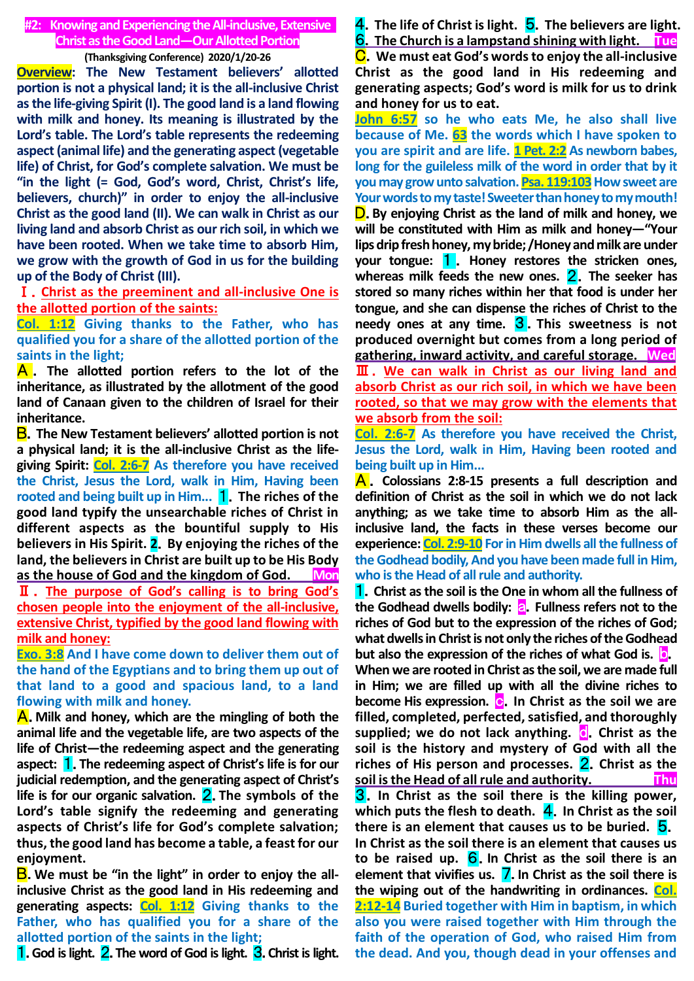### **#2: Knowingand Experiencing the All-inclusive, Extensive Christ as the Good Land—Our Allotted Portion**

#### **(Thanksgiving Conference) 2020/1/20-26**

**Overview: The New Testament believers' allotted portion is not a physical land; it is the all-inclusive Christ as the life-giving Spirit (I). The good land is a land flowing with milk and honey. Its meaning is illustrated by the Lord's table. The Lord's table represents the redeeming aspect (animal life) and the generating aspect (vegetable life) of Christ, for God's complete salvation. We must be "in the light (= God, God's word, Christ, Christ's life, believers, church)" in order to enjoy the all-inclusive Christ as the good land (II). We can walk in Christ as our living land and absorb Christ as our rich soil, in which we have been rooted. When we take time to absorb Him, we grow with the growth of God in us for the building up of the Body of Christ (III).**

# Ⅰ.**Christ as the preeminent and all-inclusive One is the allotted portion of the saints:**

**Col. 1:12 Giving thanks to the Father, who has qualified you for a share of the allotted portion of the saints in the light;**

A . **The allotted portion refers to the lot of the inheritance, as illustrated by the allotment of the good land of Canaan given to the children of Israel for their inheritance.**

B.**The New Testament believers' allotted portion is not a physical land; it is the all-inclusive Christ as the lifegiving Spirit: Col. 2:6-7 As therefore you have received the Christ, Jesus the Lord, walk in Him, Having been rooted and being built up in Him... 1.** The riches of the **good land typify the unsearchable riches of Christ in different aspects as the bountiful supply to His believers in His Spirit. 2**.**By enjoying the riches of the land, the believers in Christ are built up to be His Body as the house of God and the kingdom of God. Mon** Ⅱ. **The purpose of God's calling is to bring God's chosen people into the enjoyment of the all-inclusive, extensive Christ, typified by the good land flowing with milk and honey:**

**Exo. 3:8 And I have come down to deliver them out of the hand of the Egyptians and to bring them up out of that land to a good and spacious land, to a land flowing with milk and honey.**

A.**Milk and honey, which are the mingling of both the animal life and the vegetable life, are two aspects of the life of Christ—the redeeming aspect and the generating aspect:** 1.**The redeeming aspect of Christ's life is for our judicial redemption, and the generating aspect of Christ's life is for our organic salvation.** 2.**The symbols of the Lord's table signify the redeeming and generating aspects of Christ's life for God's complete salvation; thus, the good land has become a table, a feast for our enjoyment.**

B.**We must be "in the light" in order to enjoy the allinclusive Christ as the good land in His redeeming and generating aspects: Col. 1:12 Giving thanks to the Father, who has qualified you for a share of the allotted portion of the saints in the light;**

1.**God is light.** 2.**The word of God is light.** 3.**Christ is light.**

4.**The life of Christ is light.** 5.**The believers are light. 6.** The Church is a lampstand shining with light. Tue C.**We must eat God's words to enjoy the all-inclusive Christ as the good land in His redeeming and generating aspects; God's word is milk for us to drink** 

**and honey for us to eat. John 6:57 so he who eats Me, he also shall live because of Me. 63 the words which I have spoken to you are spirit and are life. 1 Pet. 2:2 As newborn babes, long for the guileless milk of the word in order that by it you may grow unto salvation. Psa. 119:103 How sweet are Your words to my taste! Sweeter than honey to my mouth!** D.**By enjoying Christ as the land of milk and honey, we will be constituted with Him as milk and honey—"Your lips drip fresh honey, my bride; /Honey and milk are under your tongue:** 1 . **Honey restores the stricken ones, whereas milk feeds the new ones.** 2.**The seeker has stored so many riches within her that food is under her tongue, and she can dispense the riches of Christ to the needy ones at any time.** 3 .**This sweetness is not produced overnight but comes from a long period of gathering, inward activity, and careful storage. Wed** Ⅲ. **We can walk in Christ as our living land and absorb Christ as our rich soil, in which we have been rooted, so that we may grow with the elements that we absorb from the soil:**

**Col. 2:6-7 As therefore you have received the Christ, Jesus the Lord, walk in Him, Having been rooted and being built up in Him...**

A . **Colossians 2:8-15 presents a full description and definition of Christ as the soil in which we do not lack anything; as we take time to absorb Him as the allinclusive land, the facts in these verses become our experience: Col. 2:9-10 For in Him dwells all the fullness of the Godhead bodily, And you have been made full in Him, who is the Head of all rule and authority.**

1.**Christ as the soil is the One in whom all the fullness of**  the Godhead dwells bodily: **a**. Fullness refers not to the **riches of God but to the expression of the riches of God; what dwells in Christ is not only the riches of the Godhead but also the expression of the riches of what God is.** b.

**When we are rooted in Christ as the soil, we are made full in Him; we are filled up with all the divine riches to become His expression. c.** In Christ as the soil we are **filled, completed, perfected, satisfied, and thoroughly supplied; we do not lack anything. <b>d**. Christ as the **soil is the history and mystery of God with all the riches of His person and processes.** 2.**Christ as the soil is the Head of all rule and authority. Thu** 3.**In Christ as the soil there is the killing power,** 

**which puts the flesh to death.** 4.**In Christ as the soil there is an element that causes us to be buried.** 5. **In Christ as the soil there is an element that causes us to be raised up.** 6.**In Christ as the soil there is an element that vivifies us.** 7.**In Christ as the soil there is the wiping out of the handwriting in ordinances. Col. 2:12-14 Buried together with Him in baptism, in which also you were raised together with Him through the faith of the operation of God, who raised Him from the dead. And you, though dead in your offenses and**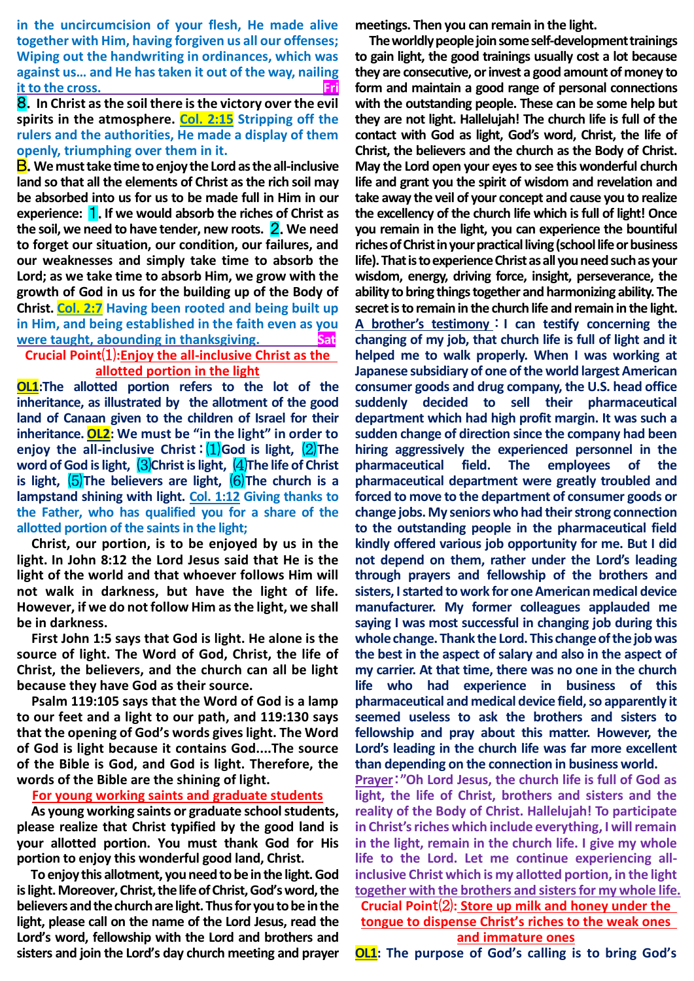**in the uncircumcision of your flesh, He made alive together with Him, having forgiven us all our offenses; Wiping out the handwriting in ordinances, which was against us… and He has taken it out of the way, nailing it to the cross. Fri**

8.**In Christ as the soil there is the victory over the evil spirits in the atmosphere. Col. 2:15 Stripping off the rulers and the authorities, He made a display of them openly, triumphing over them in it.**

B.**We must take time to enjoy the Lord as the all-inclusive land so that all the elements of Christ as the rich soil may be absorbed into us for us to be made full in Him in our experience:** 1.**If we would absorb the riches of Christ as the soil, we need to have tender, new roots.** 2.**We need to forget our situation, our condition, our failures, and our weaknesses and simply take time to absorb the Lord; as we take time to absorb Him, we grow with the growth of God in us for the building up of the Body of Christ. Col. 2:7 Having been rooted and being built up in Him, and being established in the faith even as you were taught, abounding in thanksgiving. Sat**

# **Crucial Point**⑴**:Enjoy the all-inclusive Christ as the allotted portion in the light**

**OL1:The allotted portion refers to the lot of the inheritance, as illustrated by the allotment of the good land of Canaan given to the children of Israel for their inheritance.OL2: We must be "in the light" in order to enjoy the all-inclusive Christ**:⑴**God is light,** ⑵**The word of God is light,**  $(3)$ **Christ is light,**  $(4)$ **The life of Christ is light,**  $\overline{(5)}$ **The believers are light,**  $\overline{(6)}$ **The church is a lampstand shining with light. Col. 1:12 Giving thanks to the Father, who has qualified you for a share of the allotted portion of the saints in the light;**

**Christ, our portion, is to be enjoyed by us in the light. In John 8:12 the Lord Jesus said that He is the light of the world and that whoever follows Him will not walk in darkness, but have the light of life. However, if we do not follow Him as the light, we shall be in darkness.** 

**First John 1:5 says that God is light. He alone is the source of light. The Word of God, Christ, the life of Christ, the believers, and the church can all be light because they have God as their source.**

**Psalm 119:105 says that the Word of God is a lamp to our feet and a light to our path, and 119:130 says that the opening of God's words gives light. The Word of God is light because it contains God....The source of the Bible is God, and God is light. Therefore, the words of the Bible are the shining of light.** 

# **For young working saints and graduate students**

**As young working saints or graduate school students, please realize that Christ typified by the good land is your allotted portion. You must thank God for His portion to enjoy this wonderful good land, Christ.**

**To enjoy this allotment, you need to be in the light. God is light. Moreover, Christ, the life of Christ, God's word, the believers and the church are light. Thus for you to be in the light, please call on the name of the Lord Jesus, read the Lord's word, fellowship with the Lord and brothers and sisters and join the Lord's day church meeting and prayer**  **meetings. Then you can remain in the light.** 

**The worldly people join some self-development trainings to gain light, the good trainings usually cost a lot because they are consecutive, or invest a good amount of money to form and maintain a good range of personal connections with the outstanding people. These can be some help but they are not light. Hallelujah! The church life is full of the contact with God as light, God's word, Christ, the life of Christ, the believers and the church as the Body of Christ. May the Lord open your eyes to see this wonderful church life and grant you the spirit of wisdom and revelation and take away the veil of your concept and cause you to realize the excellency of the church life which is full of light! Once you remain in the light, you can experience the bountiful riches of Christ in your practical living (school life or business life). That is to experience Christ as all you need such as your wisdom, energy, driving force, insight, perseverance, the ability to bring things together and harmonizing ability. The secret is to remain in the church life and remain in the light. A brother's testimony** : **I can testify concerning the changing of my job, that church life is full of light and it helped me to walk properly. When I was working at Japanese subsidiary of one of the world largest American consumer goods and drug company, the U.S. head office suddenly decided to sell their pharmaceutical department which had high profit margin. It was such a sudden change of direction since the company had been hiring aggressively the experienced personnel in the pharmaceutical field. The employees of the pharmaceutical department were greatly troubled and forced to move to the department of consumer goods or change jobs. My seniors who had their strong connection to the outstanding people in the pharmaceutical field kindly offered various job opportunity for me. But I did not depend on them, rather under the Lord's leading through prayers and fellowship of the brothers and sisters, I started to work for one American medical device manufacturer. My former colleagues applauded me saying I was most successful in changing job during this whole change. Thank the Lord. This change of the job was the best in the aspect of salary and also in the aspect of my carrier. At that time, there was no one in the church life who had experience in business of this pharmaceutical and medical device field, so apparently it seemed useless to ask the brothers and sisters to fellowship and pray about this matter. However, the Lord's leading in the church life was far more excellent than depending on the connection in business world. Prayer**:**"Oh Lord Jesus, the church life is full of God as** 

**light, the life of Christ, brothers and sisters and the reality of the Body of Christ. Hallelujah! To participate in Christ's riches which include everything, I will remain in the light, remain in the church life. I give my whole life to the Lord. Let me continue experiencing allinclusive Christ which is my allotted portion, in the light together with the brothers and sisters for my whole life. Crucial Poin**t⑵**: Store up milk and honey under the tongue to dispense Christ's riches to the weak ones and immature ones**

**OL1: The purpose of God's calling is to bring God's**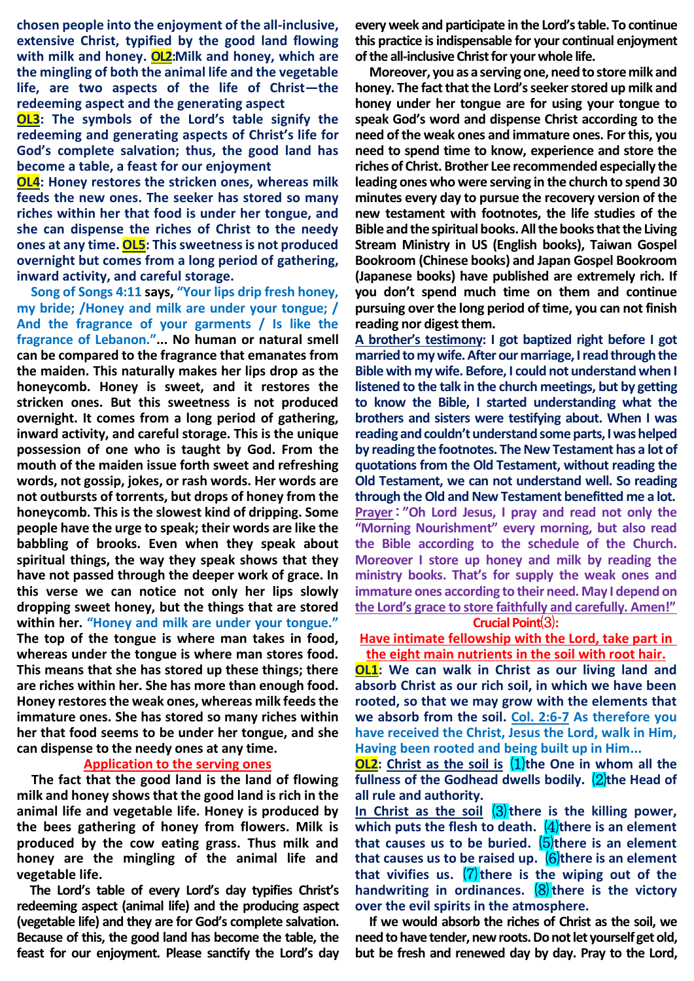**chosen people into the enjoyment of the all-inclusive, extensive Christ, typified by the good land flowing with milk and honey. OL2:Milk and honey, which are the mingling of both the animal life and the vegetable life, are two aspects of the life of Christ—the redeeming aspect and the generating aspect**

**OL3: The symbols of the Lord's table signify the redeeming and generating aspects of Christ's life for God's complete salvation; thus, the good land has become a table, a feast for our enjoyment**

**OL4: Honey restores the stricken ones, whereas milk feeds the new ones. The seeker has stored so many riches within her that food is under her tongue, and she can dispense the riches of Christ to the needy ones at any time. OL5: This sweetness is not produced overnight but comes from a long period of gathering, inward activity, and careful storage.** 

 **Song of Songs 4:11 says, "Your lips drip fresh honey, my bride; /Honey and milk are under your tongue; / And the fragrance of your garments / Is like the fragrance of Lebanon."... No human or natural smell can be compared to the fragrance that emanates from the maiden. This naturally makes her lips drop as the honeycomb. Honey is sweet, and it restores the stricken ones. But this sweetness is not produced overnight. It comes from a long period of gathering, inward activity, and careful storage. This is the unique possession of one who is taught by God. From the mouth of the maiden issue forth sweet and refreshing words, not gossip, jokes, or rash words. Her words are not outbursts of torrents, but drops of honey from the honeycomb. This is the slowest kind of dripping. Some people have the urge to speak; their words are like the babbling of brooks. Even when they speak about spiritual things, the way they speak shows that they have not passed through the deeper work of grace. In this verse we can notice not only her lips slowly dropping sweet honey, but the things that are stored within her. "Honey and milk are under your tongue." The top of the tongue is where man takes in food, whereas under the tongue is where man stores food. This means that she has stored up these things; there are riches within her. She has more than enough food. Honey restores the weak ones, whereas milk feeds the immature ones. She has stored so many riches within her that food seems to be under her tongue, and she can dispense to the needy ones at any time.** 

#### **Application to the serving ones**

**The fact that the good land is the land of flowing milk and honey shows that the good land is rich in the animal life and vegetable life. Honey is produced by the bees gathering of honey from flowers. Milk is produced by the cow eating grass. Thus milk and honey are the mingling of the animal life and vegetable life.**

**The Lord's table of every Lord's day typifies Christ's redeeming aspect (animal life) and the producing aspect (vegetable life) and they are for God's complete salvation. Because of this, the good land has become the table, the feast for our enjoyment. Please sanctify the Lord's day** 

**every week and participate in the Lord's table. To continue this practice is indispensable for your continual enjoyment of the all-inclusive Christ for your whole life.** 

**Moreover, you as a serving one, need to store milk and honey. The fact that the Lord's seeker stored up milk and honey under her tongue are for using your tongue to speak God's word and dispense Christ according to the need of the weak ones and immature ones. For this, you need to spend time to know, experience and store the riches of Christ. Brother Lee recommended especially the leading ones who were serving in the church to spend 30 minutes every day to pursue the recovery version of the new testament with footnotes, the life studies of the Bible and the spiritual books. All the books that the Living Stream Ministry in US (English books), Taiwan Gospel Bookroom (Chinese books) and Japan Gospel Bookroom (Japanese books) have published are extremely rich. If you don't spend much time on them and continue pursuing over the long period of time, you can not finish reading nor digest them.**

**A brother's testimony: I got baptized right before I got married to my wife. After our marriage, I read through the Bible with my wife. Before, I could not understand when I listened to the talk in the church meetings, but by getting to know the Bible, I started understanding what the brothers and sisters were testifying about. When I was reading and couldn't understand some parts, I was helped by reading the footnotes. The New Testament has a lot of quotations from the Old Testament, without reading the Old Testament, we can not understand well. So reading through the Old and New Testament benefitted me a lot. Prayer**:**"Oh Lord Jesus, I pray and read not only the "Morning Nourishment" every morning, but also read the Bible according to the schedule of the Church. Moreover I store up honey and milk by reading the ministry books. That's for supply the weak ones and immature ones according to their need. May I depend on the Lord's grace to store faithfully and carefully. Amen!"**

**Crucial Point**⑶**:**

**Have intimate fellowship with the Lord, take part in the eight main nutrients in the soil with root hair.**

**OL1: We can walk in Christ as our living land and absorb Christ as our rich soil, in which we have been rooted, so that we may grow with the elements that we absorb from the soil. Col. 2:6-7 As therefore you have received the Christ, Jesus the Lord, walk in Him, Having been rooted and being built up in Him...**

**OL2:** Christ as the soil is  $(1)$ the One in whom all the **fullness of the Godhead dwells bodily.** ⑵**the Head of all rule and authority.**

In Christ as the soil  $(3)$  there is the killing power, **which puts the flesh to death.**  $\left(4\right)$  there is an element that causes us to be buried. (5)there is an element **that causes us to be raised up.** ⑹**there is an element that vivifies us.** ⑺**there is the wiping out of the handwriting in ordinances.** (8) there is the victory **over the evil spirits in the atmosphere.**

**If we would absorb the riches of Christ as the soil, we need to have tender, new roots. Do not let yourself get old, but be fresh and renewed day by day. Pray to the Lord,**